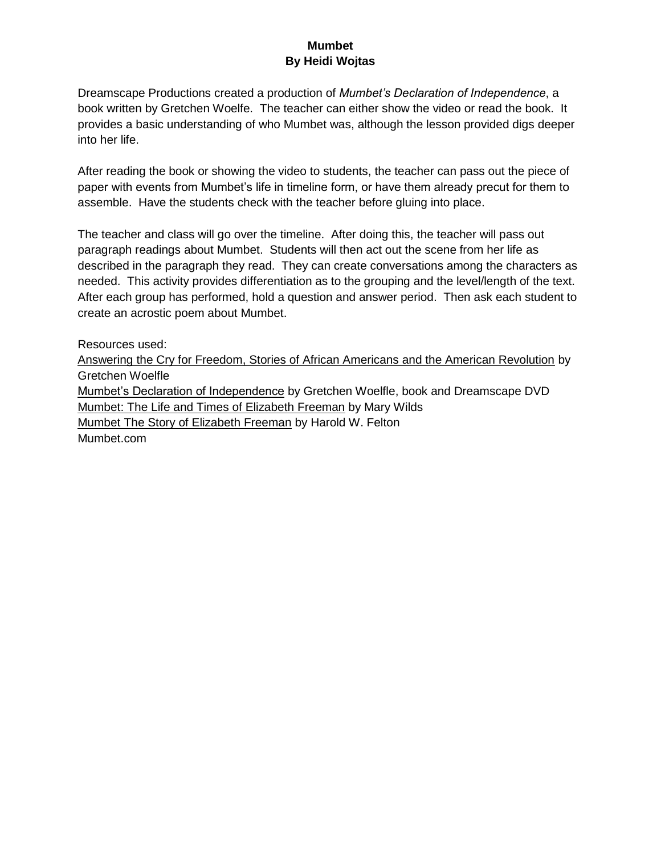#### **Mumbet By Heidi Wojtas**

Dreamscape Productions created a production of *Mumbet's Declaration of Independence*, a book written by Gretchen Woelfe. The teacher can either show the video or read the book. It provides a basic understanding of who Mumbet was, although the lesson provided digs deeper into her life.

After reading the book or showing the video to students, the teacher can pass out the piece of paper with events from Mumbet's life in timeline form, or have them already precut for them to assemble. Have the students check with the teacher before gluing into place.

The teacher and class will go over the timeline. After doing this, the teacher will pass out paragraph readings about Mumbet. Students will then act out the scene from her life as described in the paragraph they read. They can create conversations among the characters as needed. This activity provides differentiation as to the grouping and the level/length of the text. After each group has performed, hold a question and answer period. Then ask each student to create an acrostic poem about Mumbet.

Resources used: Answering the Cry for Freedom, Stories of African Americans and the American Revolution by Gretchen Woelfle Mumbet's Declaration of Independence by Gretchen Woelfle, book and Dreamscape DVD Mumbet: The Life and Times of Elizabeth Freeman by Mary Wilds Mumbet The Story of Elizabeth Freeman by Harold W. Felton Mumbet.com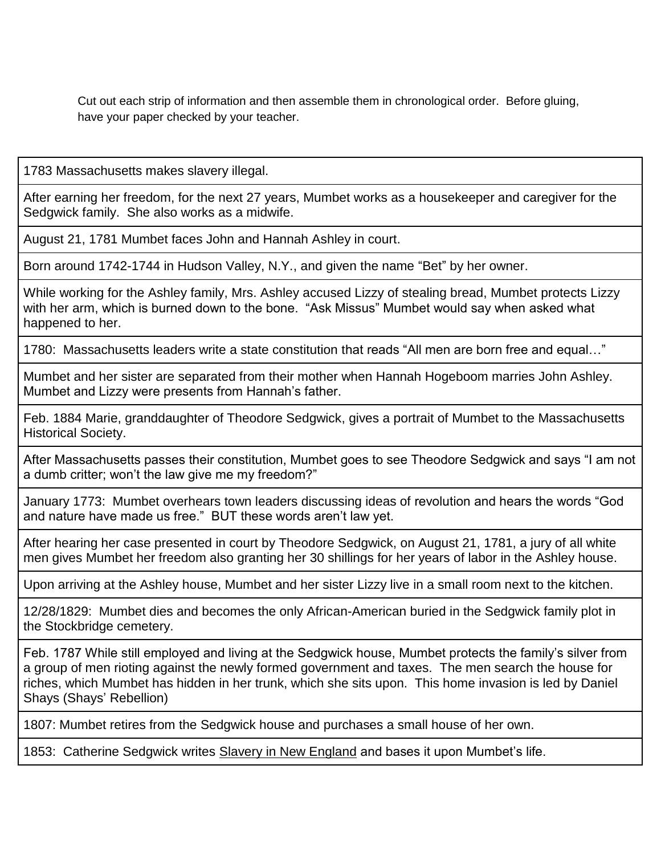Cut out each strip of information and then assemble them in chronological order. Before gluing, have your paper checked by your teacher.

1783 Massachusetts makes slavery illegal.

After earning her freedom, for the next 27 years, Mumbet works as a housekeeper and caregiver for the Sedgwick family. She also works as a midwife.

August 21, 1781 Mumbet faces John and Hannah Ashley in court.

Born around 1742-1744 in Hudson Valley, N.Y., and given the name "Bet" by her owner.

While working for the Ashley family, Mrs. Ashley accused Lizzy of stealing bread, Mumbet protects Lizzy with her arm, which is burned down to the bone. "Ask Missus" Mumbet would say when asked what happened to her.

1780: Massachusetts leaders write a state constitution that reads "All men are born free and equal…"

Mumbet and her sister are separated from their mother when Hannah Hogeboom marries John Ashley. Mumbet and Lizzy were presents from Hannah's father.

Feb. 1884 Marie, granddaughter of Theodore Sedgwick, gives a portrait of Mumbet to the Massachusetts Historical Society.

After Massachusetts passes their constitution, Mumbet goes to see Theodore Sedgwick and says "I am not a dumb critter; won't the law give me my freedom?"

January 1773: Mumbet overhears town leaders discussing ideas of revolution and hears the words "God and nature have made us free." BUT these words aren't law yet.

After hearing her case presented in court by Theodore Sedgwick, on August 21, 1781, a jury of all white men gives Mumbet her freedom also granting her 30 shillings for her years of labor in the Ashley house.

Upon arriving at the Ashley house, Mumbet and her sister Lizzy live in a small room next to the kitchen.

12/28/1829: Mumbet dies and becomes the only African-American buried in the Sedgwick family plot in the Stockbridge cemetery.

Feb. 1787 While still employed and living at the Sedgwick house, Mumbet protects the family's silver from a group of men rioting against the newly formed government and taxes. The men search the house for riches, which Mumbet has hidden in her trunk, which she sits upon. This home invasion is led by Daniel Shays (Shays' Rebellion)

1807: Mumbet retires from the Sedgwick house and purchases a small house of her own.

1853: Catherine Sedgwick writes Slavery in New England and bases it upon Mumbet's life.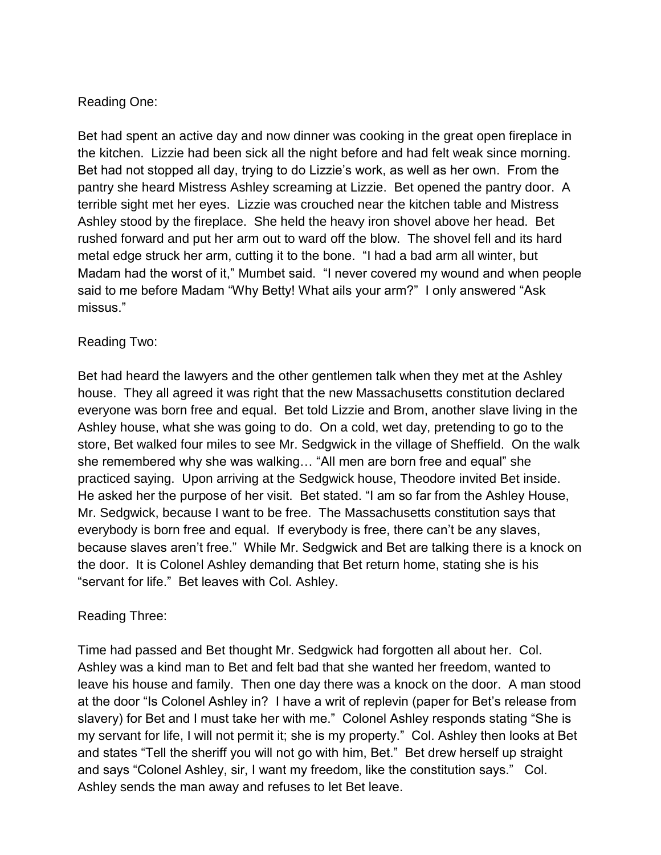# Reading One:

Bet had spent an active day and now dinner was cooking in the great open fireplace in the kitchen. Lizzie had been sick all the night before and had felt weak since morning. Bet had not stopped all day, trying to do Lizzie's work, as well as her own. From the pantry she heard Mistress Ashley screaming at Lizzie. Bet opened the pantry door. A terrible sight met her eyes. Lizzie was crouched near the kitchen table and Mistress Ashley stood by the fireplace. She held the heavy iron shovel above her head. Bet rushed forward and put her arm out to ward off the blow. The shovel fell and its hard metal edge struck her arm, cutting it to the bone. "I had a bad arm all winter, but Madam had the worst of it," Mumbet said. "I never covered my wound and when people said to me before Madam "Why Betty! What ails your arm?" I only answered "Ask missus."

### Reading Two:

Bet had heard the lawyers and the other gentlemen talk when they met at the Ashley house. They all agreed it was right that the new Massachusetts constitution declared everyone was born free and equal. Bet told Lizzie and Brom, another slave living in the Ashley house, what she was going to do. On a cold, wet day, pretending to go to the store, Bet walked four miles to see Mr. Sedgwick in the village of Sheffield. On the walk she remembered why she was walking… "All men are born free and equal" she practiced saying. Upon arriving at the Sedgwick house, Theodore invited Bet inside. He asked her the purpose of her visit. Bet stated. "I am so far from the Ashley House, Mr. Sedgwick, because I want to be free. The Massachusetts constitution says that everybody is born free and equal. If everybody is free, there can't be any slaves, because slaves aren't free." While Mr. Sedgwick and Bet are talking there is a knock on the door. It is Colonel Ashley demanding that Bet return home, stating she is his "servant for life." Bet leaves with Col. Ashley.

### Reading Three:

Time had passed and Bet thought Mr. Sedgwick had forgotten all about her. Col. Ashley was a kind man to Bet and felt bad that she wanted her freedom, wanted to leave his house and family. Then one day there was a knock on the door. A man stood at the door "Is Colonel Ashley in? I have a writ of replevin (paper for Bet's release from slavery) for Bet and I must take her with me." Colonel Ashley responds stating "She is my servant for life, I will not permit it; she is my property." Col. Ashley then looks at Bet and states "Tell the sheriff you will not go with him, Bet." Bet drew herself up straight and says "Colonel Ashley, sir, I want my freedom, like the constitution says." Col. Ashley sends the man away and refuses to let Bet leave.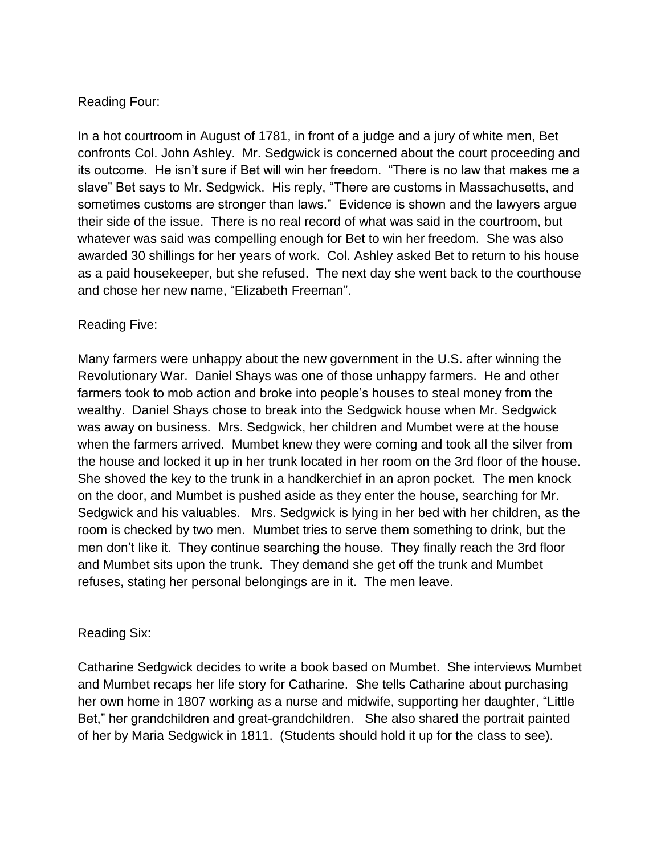# Reading Four:

In a hot courtroom in August of 1781, in front of a judge and a jury of white men, Bet confronts Col. John Ashley. Mr. Sedgwick is concerned about the court proceeding and its outcome. He isn't sure if Bet will win her freedom. "There is no law that makes me a slave" Bet says to Mr. Sedgwick. His reply, "There are customs in Massachusetts, and sometimes customs are stronger than laws." Evidence is shown and the lawyers argue their side of the issue. There is no real record of what was said in the courtroom, but whatever was said was compelling enough for Bet to win her freedom. She was also awarded 30 shillings for her years of work. Col. Ashley asked Bet to return to his house as a paid housekeeper, but she refused. The next day she went back to the courthouse and chose her new name, "Elizabeth Freeman".

### Reading Five:

Many farmers were unhappy about the new government in the U.S. after winning the Revolutionary War. Daniel Shays was one of those unhappy farmers. He and other farmers took to mob action and broke into people's houses to steal money from the wealthy. Daniel Shays chose to break into the Sedgwick house when Mr. Sedgwick was away on business. Mrs. Sedgwick, her children and Mumbet were at the house when the farmers arrived. Mumbet knew they were coming and took all the silver from the house and locked it up in her trunk located in her room on the 3rd floor of the house. She shoved the key to the trunk in a handkerchief in an apron pocket. The men knock on the door, and Mumbet is pushed aside as they enter the house, searching for Mr. Sedgwick and his valuables. Mrs. Sedgwick is lying in her bed with her children, as the room is checked by two men. Mumbet tries to serve them something to drink, but the men don't like it. They continue searching the house. They finally reach the 3rd floor and Mumbet sits upon the trunk. They demand she get off the trunk and Mumbet refuses, stating her personal belongings are in it. The men leave.

### Reading Six:

Catharine Sedgwick decides to write a book based on Mumbet. She interviews Mumbet and Mumbet recaps her life story for Catharine. She tells Catharine about purchasing her own home in 1807 working as a nurse and midwife, supporting her daughter, "Little Bet," her grandchildren and great-grandchildren. She also shared the portrait painted of her by Maria Sedgwick in 1811. (Students should hold it up for the class to see).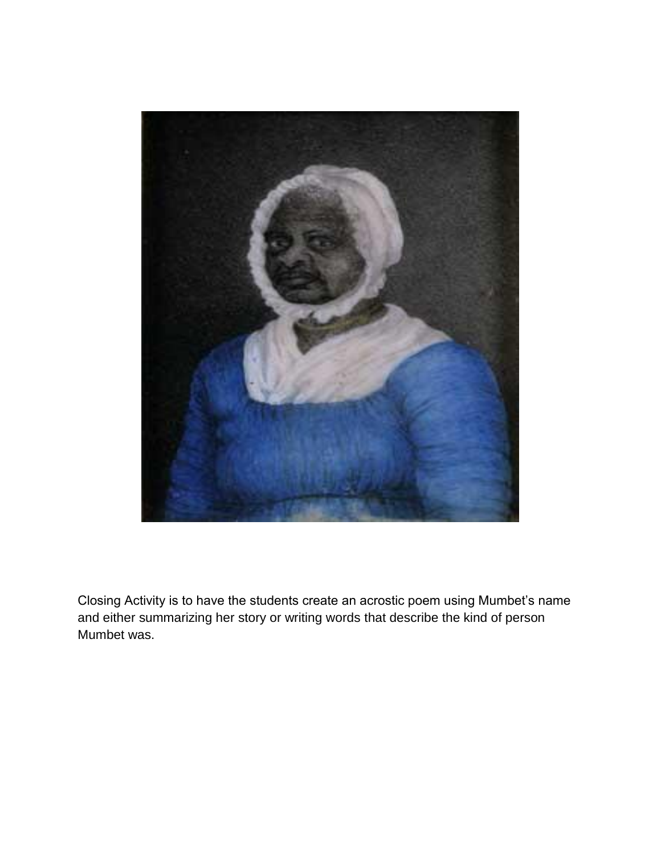

Closing Activity is to have the students create an acrostic poem using Mumbet's name and either summarizing her story or writing words that describe the kind of person Mumbet was.